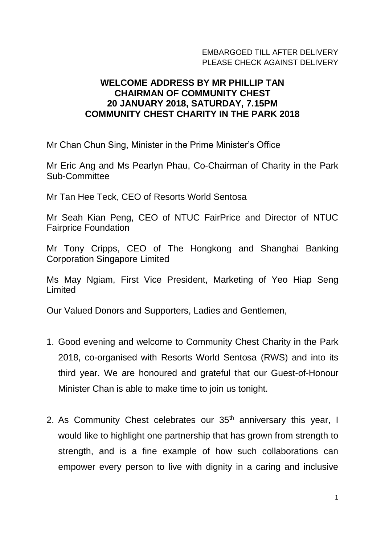## EMBARGOED TILL AFTER DELIVERY PI FASE CHECK AGAINST DELIVERY

## **WELCOME ADDRESS BY MR PHILLIP TAN CHAIRMAN OF COMMUNITY CHEST 20 JANUARY 2018, SATURDAY, 7.15PM COMMUNITY CHEST CHARITY IN THE PARK 2018**

Mr Chan Chun Sing, Minister in the Prime Minister's Office

Mr Eric Ang and Ms Pearlyn Phau, Co-Chairman of Charity in the Park Sub-Committee

Mr Tan Hee Teck, CEO of Resorts World Sentosa

Mr Seah Kian Peng, CEO of NTUC FairPrice and Director of NTUC Fairprice Foundation

Mr Tony Cripps, CEO of The Hongkong and Shanghai Banking Corporation Singapore Limited

Ms May Ngiam, First Vice President, Marketing of Yeo Hiap Seng Limited

Our Valued Donors and Supporters, Ladies and Gentlemen,

- 1. Good evening and welcome to Community Chest Charity in the Park 2018, co-organised with Resorts World Sentosa (RWS) and into its third year. We are honoured and grateful that our Guest-of-Honour Minister Chan is able to make time to join us tonight.
- 2. As Community Chest celebrates our 35<sup>th</sup> anniversary this year, I would like to highlight one partnership that has grown from strength to strength, and is a fine example of how such collaborations can empower every person to live with dignity in a caring and inclusive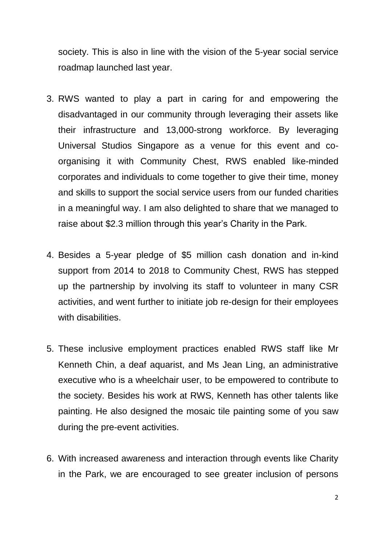society. This is also in line with the vision of the 5-year social service roadmap launched last year.

- 3. RWS wanted to play a part in caring for and empowering the disadvantaged in our community through leveraging their assets like their infrastructure and 13,000-strong workforce. By leveraging Universal Studios Singapore as a venue for this event and coorganising it with Community Chest, RWS enabled like-minded corporates and individuals to come together to give their time, money and skills to support the social service users from our funded charities in a meaningful way. I am also delighted to share that we managed to raise about \$2.3 million through this year's Charity in the Park.
- 4. Besides a 5-year pledge of \$5 million cash donation and in-kind support from 2014 to 2018 to Community Chest, RWS has stepped up the partnership by involving its staff to volunteer in many CSR activities, and went further to initiate job re-design for their employees with disabilities.
- 5. These inclusive employment practices enabled RWS staff like Mr Kenneth Chin, a deaf aquarist, and Ms Jean Ling, an administrative executive who is a wheelchair user, to be empowered to contribute to the society. Besides his work at RWS, Kenneth has other talents like painting. He also designed the mosaic tile painting some of you saw during the pre-event activities.
- 6. With increased awareness and interaction through events like Charity in the Park, we are encouraged to see greater inclusion of persons